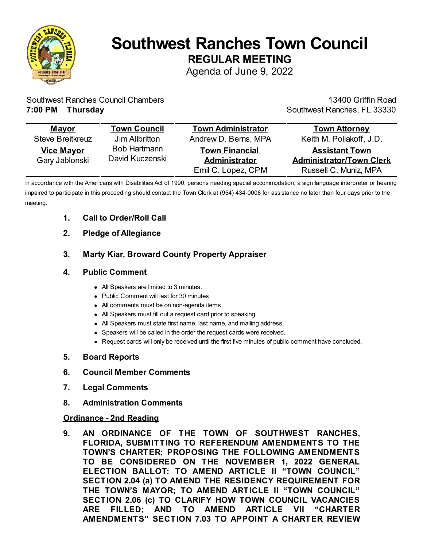

# **Southwest Ranches Town Council REGULAR MEETING**

Agenda of June 9, 2022

Southwest Ranches Council Chambers **7:00 PM Thursday**

13400 Griffin Road Southwest Ranches, FL 33330

| <b>Mayor</b>                        | <b>Town Council</b>                    | <b>Town Administrator</b>                                    | <b>Town Attorney</b>                                                              |
|-------------------------------------|----------------------------------------|--------------------------------------------------------------|-----------------------------------------------------------------------------------|
| <b>Steve Breitkreuz</b>             | Jim Allbritton                         | Andrew D. Berns, MPA                                         | Keith M. Poliakoff, J.D.                                                          |
| <b>Vice Mayor</b><br>Gary Jablonski | <b>Bob Hartmann</b><br>David Kuczenski | <b>Town Financial</b><br>Administrator<br>Emil C. Lopez, CPM | <b>Assistant Town</b><br><b>Administrator/Town Clerk</b><br>Russell C. Muniz, MPA |

In accordance with the Americans with Disabilities Act of 1990, persons needing special accommodation, a sign language interpreter or hearing impaired to participate in this proceeding should contact the Town Clerk at (954) 434-0008 for assistance no later than four days prior to the meeting.

#### **1. Call to Order/Roll Call**

#### **2. Pledge of Allegiance**

### **3. Marty Kiar, Broward County Property Appraiser**

#### **4. Public Comment**

- All Speakers are limited to 3 minutes.
- Public Comment will last for 30 minutes.
- All comments must be on non-agenda items.
- All Speakers must fill out a request card prior to speaking.
- All Speakers must state first name, last name, and mailing address.
- Speakers will be called in the order the request cards were received.
- Request cards will only be received until the first five minutes of public comment have concluded.

#### **5. Board Reports**

- **6. Council Member Comments**
- **7. Legal Comments**
- **8. Administration Comments**

#### **Ordinance - 2nd Reading**

**9. AN ORDINANCE OF THE TOWN OF SOUTHWEST RANCHES, FLORIDA, SUBMITTING TO REFERENDUM AMENDMENTS TO THE TOWN'S CHARTER; PROPOSING THE FOLLOWING AMENDMENTS TO BE CONSIDERED ON THE NOVEMBER 1, 2022 GENERAL ELECTION BALLOT: TO AMEND ARTICLE II "TOWN COUNCIL" SECTION 2.04 (a) TO AMEND THE RESIDENCY REQUIREMENT FOR THE TOWN'S MAYOR; TO AMEND ARTICLE II "TOWN COUNCIL" SECTION 2.06 (c) TO CLARIFY HOW TOWN COUNCIL VACANCIES ARE FILLED; AND TO AMEND ARTICLE VII "CHARTER AMENDMENTS" SECTION 7.03 TO APPOINT A CHARTER REVIEW**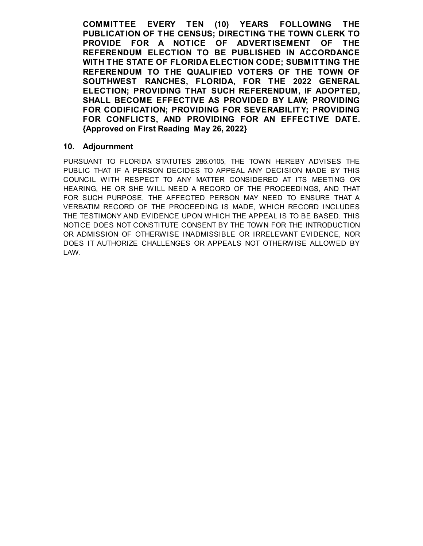**COMMITTEE EVERY TEN (10) YEARS FOLLOWING THE PUBLICATION OF THE CENSUS; DIRECTING THE TOWN CLERK TO PROVIDE FOR A NOTICE OF ADVERTISEMENT OF THE REFERENDUM ELECTION TO BE PUBLISHED IN ACCORDANCE WITH THE STATE OF FLORIDA ELECTION CODE; SUBMITTING THE REFERENDUM TO THE QUALIFIED VOTERS OF THE TOWN OF SOUTHWEST RANCHES, FLORIDA, FOR THE 2022 GENERAL ELECTION; PROVIDING THAT SUCH REFERENDUM, IF ADOPTED, SHALL BECOME EFFECTIVE AS PROVIDED BY LAW; PROVIDING FOR CODIFICATION; PROVIDING FOR SEVERABILITY; PROVIDING FOR CONFLICTS, AND PROVIDING FOR AN EFFECTIVE DATE. {Approved on First Reading May 26, 2022}**

#### **10. Adjournment**

PURSUANT TO FLORIDA STATUTES 286.0105, THE TOWN HEREBY ADVISES THE PUBLIC THAT IF A PERSON DECIDES TO APPEAL ANY DECISION MADE BY THIS COUNCIL WITH RESPECT TO ANY MATTER CONSIDERED AT ITS MEETING OR HEARING, HE OR SHE WILL NEED A RECORD OF THE PROCEEDINGS, AND THAT FOR SUCH PURPOSE, THE AFFECTED PERSON MAY NEED TO ENSURE THAT A VERBATIM RECORD OF THE PROCEEDING IS MADE, WHICH RECORD INCLUDES THE TESTIMONY AND EVIDENCE UPON WHICH THE APPEAL IS TO BE BASED. THIS NOTICE DOES NOT CONSTITUTE CONSENT BY THE TOWN FOR THE INTRODUCTION OR ADMISSION OF OTHERWISE INADMISSIBLE OR IRRELEVANT EVIDENCE, NOR DOES IT AUTHORIZE CHALLENGES OR APPEALS NOT OTHERWISE ALLOWED BY LAW.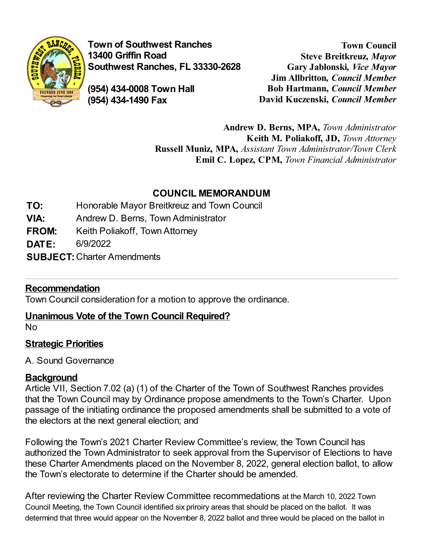

**Town of Southwest Ranches 13400 Griffin Road Southwest Ranches, FL 33330-2628**

**(954) 434-0008 Town Hall (954) 434-1490 Fax**

**Town Council Steve Breitkreuz,** *Mayor* **Gary Jablonski***, Vice Mayor* **Jim Allbritton***, Council Member* **Bob Hartmann,** *Council Member* **David Kuczenski,** *Council Member*

**Andrew D. Berns, MPA,** *Town Administrator* **Keith M. Poliakoff, JD,** *Town Attorney* **Russell Muniz, MPA,** *Assistant Town Administrator/Town Clerk* **Emil C. Lopez, CPM,** *Town Financial Administrator*

## **COUNCIL MEMORANDUM**

- **TO:** Honorable Mayor Breitkreuz and Town Council
- **VIA:** Andrew D. Berns, Town Administrator
- **FROM:** Keith Poliakoff, Town Attorney
- **DATE:** 6/9/2022
- **SUBJECT:**Charter Amendments

## **Recommendation**

Town Council consideration for a motion to approve the ordinance.

## **Unanimous Vote of the Town Council Required?**

No

## **Strategic Priorities**

A. Sound Governance

## **Background**

Article VII, Section 7.02 (a) (1) of the Charter of the Town of Southwest Ranches provides that the Town Council may by Ordinance propose amendments to the Town's Charter. Upon passage of the initiating ordinance the proposed amendments shall be submitted to a vote of the electors at the next general election; and

Following the Town's 2021 Charter Review Committee's review, the Town Council has authorized the Town Administrator to seek approval from the Supervisor of Elections to have these Charter Amendments placed on the November 8, 2022, general election ballot, to allow the Town's electorate to determine if the Charter should be amended.

After reviewing the Charter Review Committee recommedations at the March 10, 2022 Town Council Meeting, the Town Council identified six priroiry areas that should be placed on the ballot. It was determind that three would appear on the November 8, 2022 ballot and three would be placed on the ballot in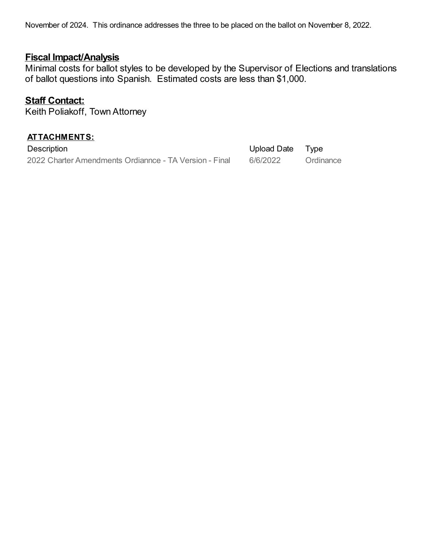November of 2024. This ordinance addresses the three to be placed on the ballot on November 8, 2022.

### **Fiscal Impact/Analysis**

Minimal costs for ballot styles to be developed by the Supervisor of Elections and translations of ballot questions into Spanish. Estimated costs are less than \$1,000.

### **Staff Contact:**

Keith Poliakoff, Town Attorney

| <b>ATTACHMENTS:</b>                                    |                  |           |  |  |
|--------------------------------------------------------|------------------|-----------|--|--|
| Description                                            | Upload Date Type |           |  |  |
| 2022 Charter Amendments Ordiannce - TA Version - Final | 6/6/2022         | Ordinance |  |  |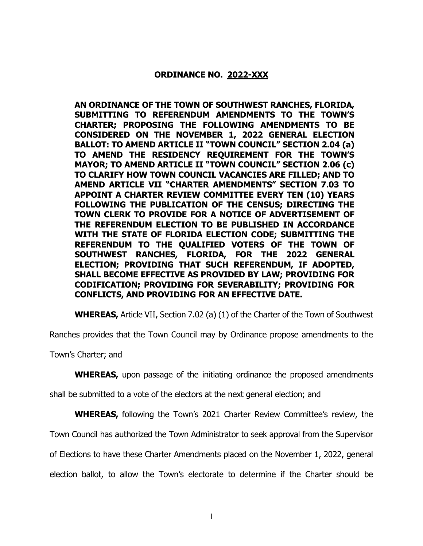#### **ORDINANCE NO. 2022-XXX**

**AN ORDINANCE OF THE TOWN OF SOUTHWEST RANCHES, FLORIDA, SUBMITTING TO REFERENDUM AMENDMENTS TO THE TOWN'S CHARTER; PROPOSING THE FOLLOWING AMENDMENTS TO BE CONSIDERED ON THE NOVEMBER 1, 2022 GENERAL ELECTION BALLOT: TO AMEND ARTICLE II "TOWN COUNCIL" SECTION 2.04 (a) TO AMEND THE RESIDENCY REQUIREMENT FOR THE TOWN'S MAYOR; TO AMEND ARTICLE II "TOWN COUNCIL" SECTION 2.06 (c) TO CLARIFY HOW TOWN COUNCIL VACANCIES ARE FILLED; AND TO AMEND ARTICLE VII "CHARTER AMENDMENTS" SECTION 7.03 TO APPOINT A CHARTER REVIEW COMMITTEE EVERY TEN (10) YEARS FOLLOWING THE PUBLICATION OF THE CENSUS; DIRECTING THE TOWN CLERK TO PROVIDE FOR A NOTICE OF ADVERTISEMENT OF THE REFERENDUM ELECTION TO BE PUBLISHED IN ACCORDANCE WITH THE STATE OF FLORIDA ELECTION CODE; SUBMITTING THE REFERENDUM TO THE QUALIFIED VOTERS OF THE TOWN OF SOUTHWEST RANCHES, FLORIDA, FOR THE 2022 GENERAL ELECTION; PROVIDING THAT SUCH REFERENDUM, IF ADOPTED, SHALL BECOME EFFECTIVE AS PROVIDED BY LAW; PROVIDING FOR CODIFICATION; PROVIDING FOR SEVERABILITY; PROVIDING FOR CONFLICTS, AND PROVIDING FOR AN EFFECTIVE DATE.**

**WHEREAS,** Article VII, Section 7.02 (a) (1) of the Charter of the Town of Southwest

Ranches provides that the Town Council may by Ordinance propose amendments to the

Town's Charter; and

**WHEREAS,** upon passage of the initiating ordinance the proposed amendments

shall be submitted to a vote of the electors at the next general election; and

**WHEREAS,** following the Town's 2021 Charter Review Committee's review, the

Town Council has authorized the Town Administrator to seek approval from the Supervisor

of Elections to have these Charter Amendments placed on the November 1, 2022, general

election ballot, to allow the Town's electorate to determine if the Charter should be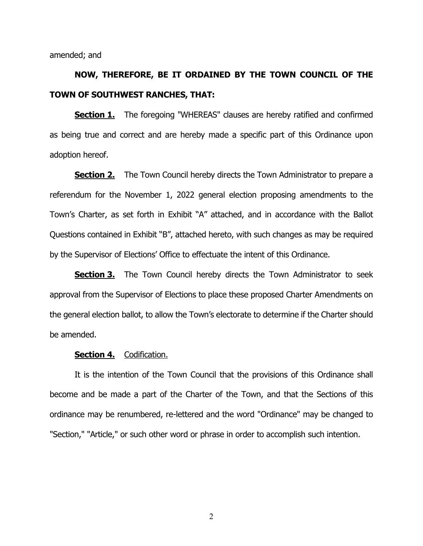amended; and

# **NOW, THEREFORE, BE IT ORDAINED BY THE TOWN COUNCIL OF THE TOWN OF SOUTHWEST RANCHES, THAT:**

**Section 1.** The foregoing "WHEREAS" clauses are hereby ratified and confirmed as being true and correct and are hereby made a specific part of this Ordinance upon adoption hereof.

**Section 2.** The Town Council hereby directs the Town Administrator to prepare a referendum for the November 1, 2022 general election proposing amendments to the Town's Charter, as set forth in Exhibit "A" attached, and in accordance with the Ballot Questions contained in Exhibit "B", attached hereto, with such changes as may be required by the Supervisor of Elections' Office to effectuate the intent of this Ordinance.

**Section 3.** The Town Council hereby directs the Town Administrator to seek approval from the Supervisor of Elections to place these proposed Charter Amendments on the general election ballot, to allow the Town's electorate to determine if the Charter should be amended.

#### **Section 4.** Codification.

It is the intention of the Town Council that the provisions of this Ordinance shall become and be made a part of the Charter of the Town, and that the Sections of this ordinance may be renumbered, re-lettered and the word "Ordinance" may be changed to "Section," "Article," or such other word or phrase in order to accomplish such intention.

2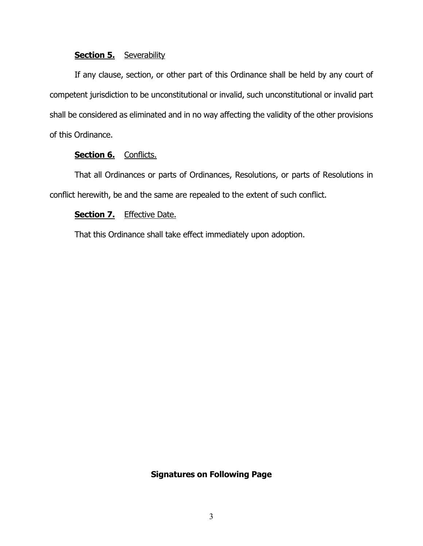#### **Section 5.** Severability

If any clause, section, or other part of this Ordinance shall be held by any court of competent jurisdiction to be unconstitutional or invalid, such unconstitutional or invalid part shall be considered as eliminated and in no way affecting the validity of the other provisions of this Ordinance.

#### Section 6. Conflicts.

That all Ordinances or parts of Ordinances, Resolutions, or parts of Resolutions in conflict herewith, be and the same are repealed to the extent of such conflict.

#### **Section 7.** Effective Date.

That this Ordinance shall take effect immediately upon adoption.

#### **Signatures on Following Page**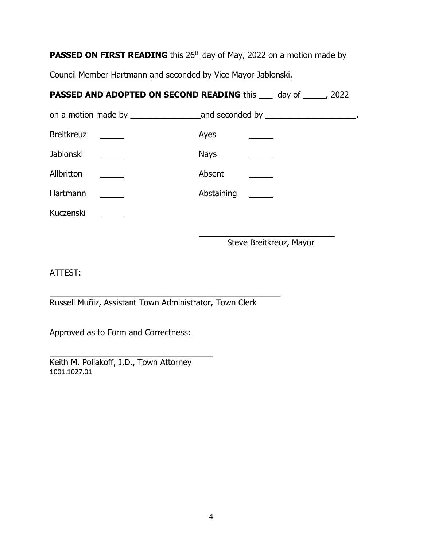**PASSED ON FIRST READING** this 26<sup>th</sup> day of May, 2022 on a motion made by

Council Member Hartmann and seconded by Vice Mayor Jablonski.

# **PASSED AND ADOPTED ON SECOND READING** this \_\_\_\_ day of \_\_\_\_\_, 2022

|                                            | and seconded by $\_\_\_\_\_\_\_\_\_\_\_\_\_\_\_$ . |  |
|--------------------------------------------|----------------------------------------------------|--|
| <b>Breitkreuz</b><br><u>and the second</u> | Ayes                                               |  |
| Jablonski<br>$\sim$                        | <b>Nays</b>                                        |  |
| Allbritton                                 | Absent                                             |  |
| Hartmann                                   | Abstaining<br>$\sim$ $\sim$                        |  |
| Kuczenski                                  |                                                    |  |
|                                            |                                                    |  |

Steve Breitkreuz, Mayor

ATTEST:

\_\_\_\_\_\_\_\_\_\_\_\_\_\_\_\_\_\_\_\_\_\_\_\_\_\_\_\_\_\_\_\_\_\_\_\_\_\_\_\_\_\_\_\_\_\_\_\_\_\_\_ Russell Muñiz, Assistant Town Administrator, Town Clerk

Approved as to Form and Correctness:

\_\_\_\_\_\_\_\_\_\_\_\_\_\_\_\_\_\_\_\_\_\_\_\_\_\_\_\_\_\_\_\_\_\_\_\_ Keith M. Poliakoff, J.D., Town Attorney 1001.1027.01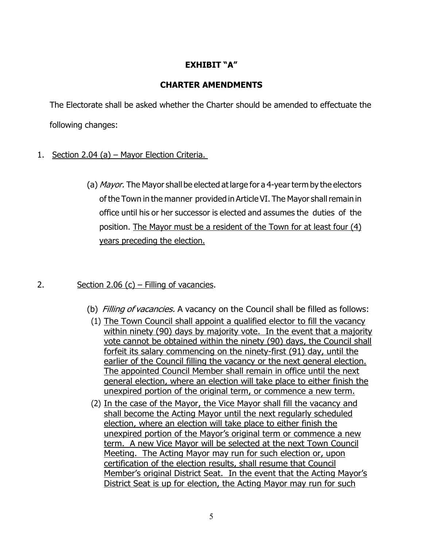#### **EXHIBIT "A"**

#### **CHARTER AMENDMENTS**

The Electorate shall be asked whether the Charter should be amended to effectuate the following changes:

- 1. Section 2.04 (a) Mayor Election Criteria.
	- (a) Mayor. The Mayor shall be elected at large for a 4-year term by the electors of the Town in the manner provided in Article VI. The Mayor shall remain in office until his or her successor is elected and assumes the duties of the position. The Mayor must be a resident of the Town for at least four (4) years preceding the election.

#### 2. Section 2.06 (c) – Filling of vacancies.

- (b) Filling of vacancies. A vacancy on the Council shall be filled as follows:
- (1) The Town Council shall appoint a qualified elector to fill the vacancy within ninety (90) days by majority vote. In the event that a majority vote cannot be obtained within the ninety (90) days, the Council shall forfeit its salary commencing on the ninety-first (91) day, until the earlier of the Council filling the vacancy or the next general election. The appointed Council Member shall remain in office until the next general election, where an election will take place to either finish the unexpired portion of the original term, or commence a new term.
- (2) In the case of the Mayor, the Vice Mayor shall fill the vacancy and shall become the Acting Mayor until the next regularly scheduled election, where an election will take place to either finish the unexpired portion of the Mayor's original term or commence a new term. A new Vice Mayor will be selected at the next Town Council Meeting. The Acting Mayor may run for such election or, upon certification of the election results, shall resume that Council Member's original District Seat. In the event that the Acting Mayor's District Seat is up for election, the Acting Mayor may run for such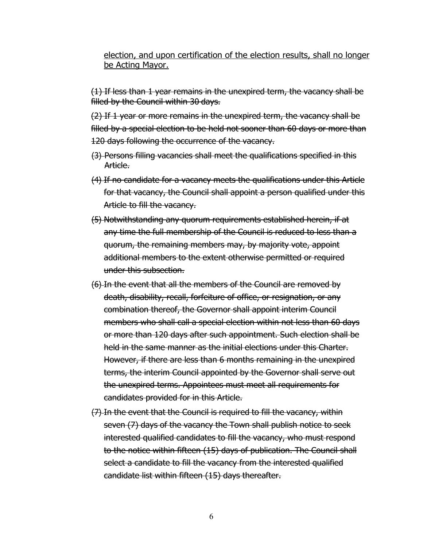#### election, and upon certification of the election results, shall no longer be Acting Mayor.

(1) If less than 1 year remains in the unexpired term, the vacancy shall be filled by the Council within 30 days.

(2) If 1 year or more remains in the unexpired term, the vacancy shall be filled by a special election to be held not sooner than 60 days or more than 120 days following the occurrence of the vacancy.

- (3) Persons filling vacancies shall meet the qualifications specified in this Article.
- (4) If no candidate for a vacancy meets the qualifications under this Article for that vacancy, the Council shall appoint a person qualified under this Article to fill the vacancy.
- (5) Notwithstanding any quorum requirements established herein, if at any time the full membership of the Council is reduced to less than a quorum, the remaining members may, by majority vote, appoint additional members to the extent otherwise permitted or required under this subsection.
- (6) In the event that all the members of the Council are removed by death, disability, recall, forfeiture of office, or resignation, or any combination thereof, the Governor shall appoint interim Council members who shall call a special election within not less than 60 days or more than 120 days after such appointment. Such election shall be held in the same manner as the initial elections under this Charter. However, if there are less than 6 months remaining in the unexpired terms, the interim Council appointed by the Governor shall serve out the unexpired terms. Appointees must meet all requirements for candidates provided for in this Article.
- (7) In the event that the Council is required to fill the vacancy, within seven (7) days of the vacancy the Town shall publish notice to seek interested qualified candidates to fill the vacancy, who must respond to the notice within fifteen (15) days of publication. The Council shall select a candidate to fill the vacancy from the interested qualified candidate list within fifteen (15) days thereafter.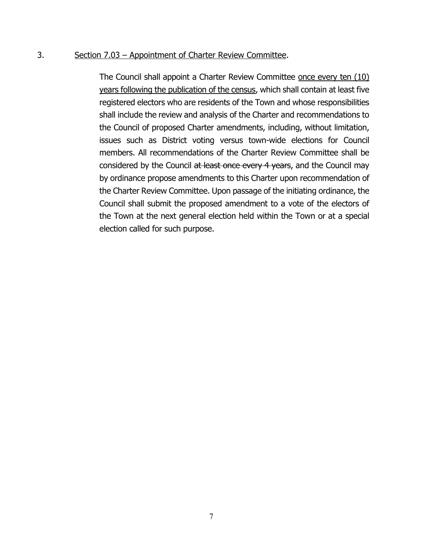#### 3. Section 7.03 – Appointment of Charter Review Committee.

The Council shall appoint a Charter Review Committee once every ten (10) years following the publication of the census, which shall contain at least five registered electors who are residents of the Town and whose responsibilities shall include the review and analysis of the Charter and recommendations to the Council of proposed Charter amendments, including, without limitation, issues such as District voting versus town-wide elections for Council members. All recommendations of the Charter Review Committee shall be considered by the Council at least once every 4 years, and the Council may by ordinance propose amendments to this Charter upon recommendation of the Charter Review Committee. Upon passage of the initiating ordinance, the Council shall submit the proposed amendment to a vote of the electors of the Town at the next general election held within the Town or at a special election called for such purpose.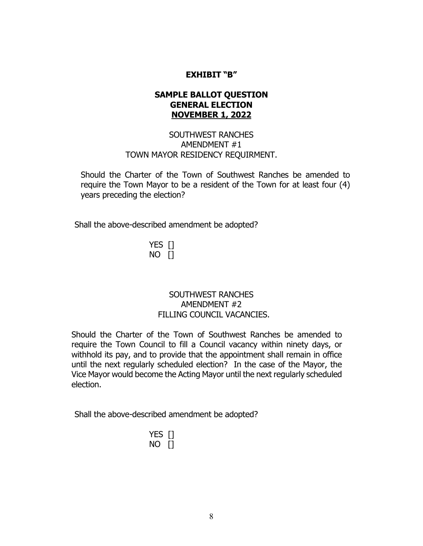#### **EXHIBIT "B"**

#### **SAMPLE BALLOT QUESTION GENERAL ELECTION NOVEMBER 1, 2022**

#### SOUTHWEST RANCHES AMENDMENT #1 TOWN MAYOR RESIDENCY REQUIRMENT.

Should the Charter of the Town of Southwest Ranches be amended to require the Town Mayor to be a resident of the Town for at least four (4) years preceding the election?

Shall the above-described amendment be adopted?

YES [] NO []

#### SOUTHWEST RANCHES AMENDMENT #2 FILLING COUNCIL VACANCIES.

Should the Charter of the Town of Southwest Ranches be amended to require the Town Council to fill a Council vacancy within ninety days, or withhold its pay, and to provide that the appointment shall remain in office until the next regularly scheduled election? In the case of the Mayor, the Vice Mayor would become the Acting Mayor until the next regularly scheduled election.

Shall the above-described amendment be adopted?

| N<br>0 |  |
|--------|--|